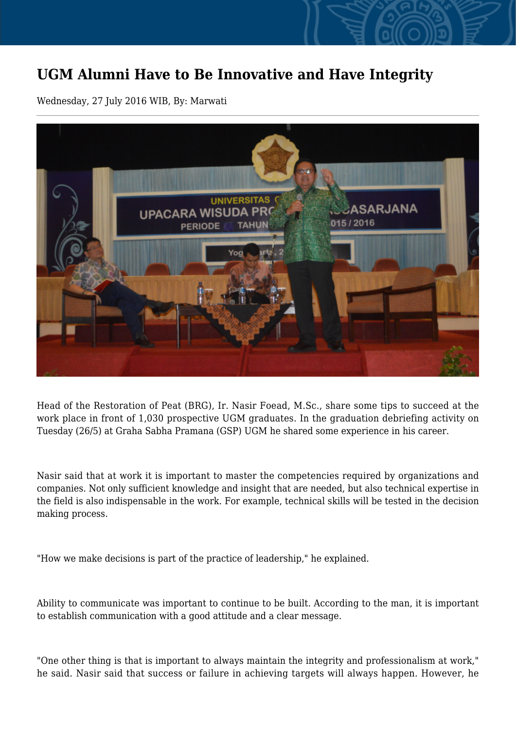## **UGM Alumni Have to Be Innovative and Have Integrity**

Wednesday, 27 July 2016 WIB, By: Marwati



Head of the Restoration of Peat (BRG), Ir. Nasir Foead, M.Sc., share some tips to succeed at the work place in front of 1,030 prospective UGM graduates. In the graduation debriefing activity on Tuesday (26/5) at Graha Sabha Pramana (GSP) UGM he shared some experience in his career.

Nasir said that at work it is important to master the competencies required by organizations and companies. Not only sufficient knowledge and insight that are needed, but also technical expertise in the field is also indispensable in the work. For example, technical skills will be tested in the decision making process.

"How we make decisions is part of the practice of leadership," he explained.

Ability to communicate was important to continue to be built. According to the man, it is important to establish communication with a good attitude and a clear message.

"One other thing is that is important to always maintain the integrity and professionalism at work," he said. Nasir said that success or failure in achieving targets will always happen. However, he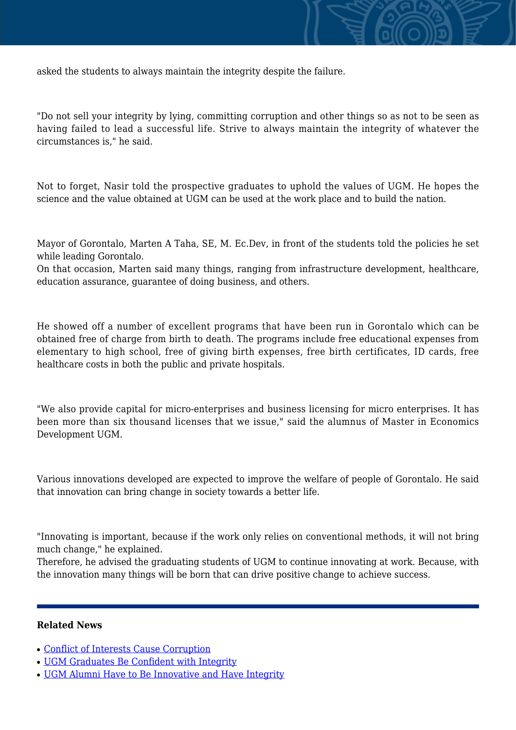

asked the students to always maintain the integrity despite the failure.

"Do not sell your integrity by lying, committing corruption and other things so as not to be seen as having failed to lead a successful life. Strive to always maintain the integrity of whatever the circumstances is," he said.

Not to forget, Nasir told the prospective graduates to uphold the values of UGM. He hopes the science and the value obtained at UGM can be used at the work place and to build the nation.

Mayor of Gorontalo, Marten A Taha, SE, M. Ec.Dev, in front of the students told the policies he set while leading Gorontalo.

On that occasion, Marten said many things, ranging from infrastructure development, healthcare, education assurance, guarantee of doing business, and others.

He showed off a number of excellent programs that have been run in Gorontalo which can be obtained free of charge from birth to death. The programs include free educational expenses from elementary to high school, free of giving birth expenses, free birth certificates, ID cards, free healthcare costs in both the public and private hospitals.

"We also provide capital for micro-enterprises and business licensing for micro enterprises. It has been more than six thousand licenses that we issue," said the alumnus of Master in Economics Development UGM.

Various innovations developed are expected to improve the welfare of people of Gorontalo. He said that innovation can bring change in society towards a better life.

"Innovating is important, because if the work only relies on conventional methods, it will not bring much change," he explained.

Therefore, he advised the graduating students of UGM to continue innovating at work. Because, with the innovation many things will be born that can drive positive change to achieve success.

## **Related News**

- [Conflict of Interests Cause Corruption](http://ugm.ac.id/www.ugm.ac.id//en/news/12143-ugm-alumni-have-to-be-innovative-and-have-integrity)
- [UGM Graduates Be Confident with Integrity](http://ugm.ac.id/www.ugm.ac.id//en/news/14284-ugm-for-integrity-movement-rejects-legality-of-right-to-inquire-anti-corruption-commission)
- [UGM Alumni Have to Be Innovative and Have Integrity](http://ugm.ac.id/www.ugm.ac.id//en/news/12569-anti-corruption-commission-recruits-young-people)